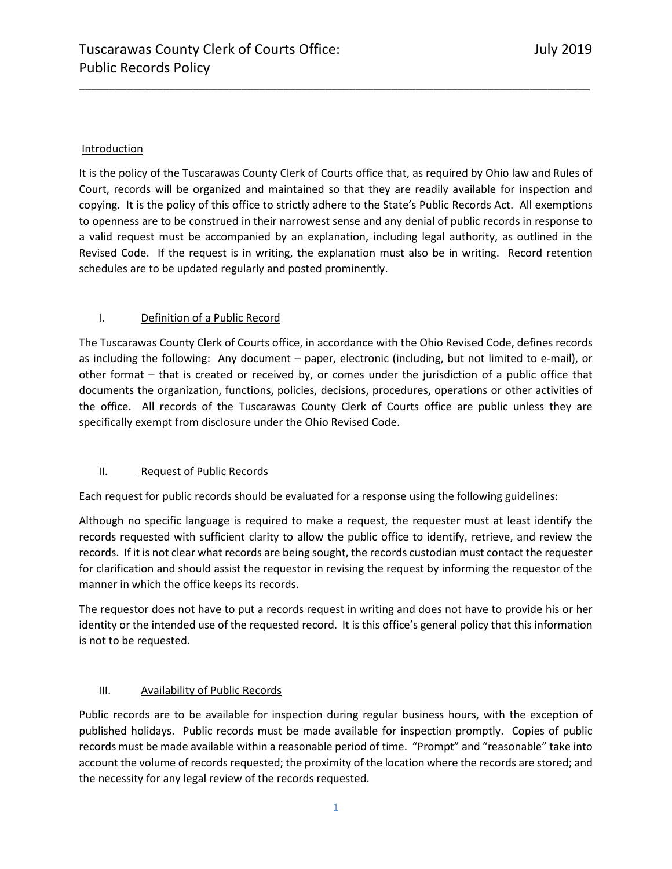#### Introduction

It is the policy of the Tuscarawas County Clerk of Courts office that, as required by Ohio law and Rules of Court, records will be organized and maintained so that they are readily available for inspection and copying. It is the policy of this office to strictly adhere to the State's Public Records Act. All exemptions to openness are to be construed in their narrowest sense and any denial of public records in response to a valid request must be accompanied by an explanation, including legal authority, as outlined in the Revised Code. If the request is in writing, the explanation must also be in writing. Record retention schedules are to be updated regularly and posted prominently.

\_\_\_\_\_\_\_\_\_\_\_\_\_\_\_\_\_\_\_\_\_\_\_\_\_\_\_\_\_\_\_\_\_\_\_\_\_\_\_\_\_\_\_\_\_\_\_\_\_\_\_\_\_\_\_\_\_\_\_\_\_\_\_\_\_\_\_\_\_\_\_\_\_\_\_\_\_\_\_\_\_\_\_\_\_

#### I. Definition of a Public Record

The Tuscarawas County Clerk of Courts office, in accordance with the Ohio Revised Code, defines records as including the following: Any document – paper, electronic (including, but not limited to e-mail), or other format – that is created or received by, or comes under the jurisdiction of a public office that documents the organization, functions, policies, decisions, procedures, operations or other activities of the office. All records of the Tuscarawas County Clerk of Courts office are public unless they are specifically exempt from disclosure under the Ohio Revised Code.

#### II. Request of Public Records

Each request for public records should be evaluated for a response using the following guidelines:

Although no specific language is required to make a request, the requester must at least identify the records requested with sufficient clarity to allow the public office to identify, retrieve, and review the records. If it is not clear what records are being sought, the records custodian must contact the requester for clarification and should assist the requestor in revising the request by informing the requestor of the manner in which the office keeps its records.

The requestor does not have to put a records request in writing and does not have to provide his or her identity or the intended use of the requested record. It is this office's general policy that this information is not to be requested.

# III. Availability of Public Records

Public records are to be available for inspection during regular business hours, with the exception of published holidays. Public records must be made available for inspection promptly. Copies of public records must be made available within a reasonable period of time. "Prompt" and "reasonable" take into account the volume of records requested; the proximity of the location where the records are stored; and the necessity for any legal review of the records requested.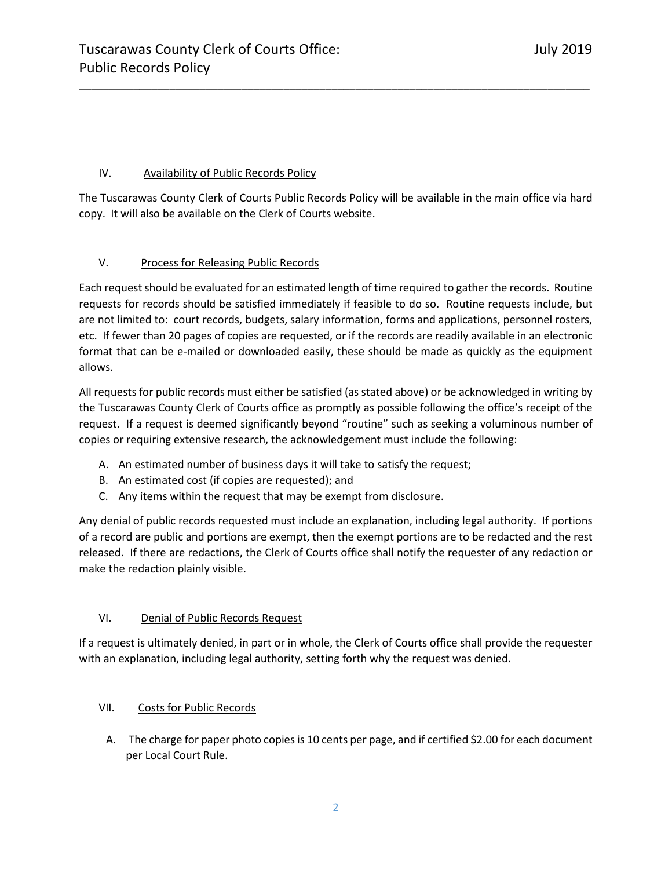# IV. Availability of Public Records Policy

The Tuscarawas County Clerk of Courts Public Records Policy will be available in the main office via hard copy. It will also be available on the Clerk of Courts website.

\_\_\_\_\_\_\_\_\_\_\_\_\_\_\_\_\_\_\_\_\_\_\_\_\_\_\_\_\_\_\_\_\_\_\_\_\_\_\_\_\_\_\_\_\_\_\_\_\_\_\_\_\_\_\_\_\_\_\_\_\_\_\_\_\_\_\_\_\_\_\_\_\_\_\_\_\_\_\_\_\_\_\_\_\_

# V. Process for Releasing Public Records

Each request should be evaluated for an estimated length of time required to gather the records. Routine requests for records should be satisfied immediately if feasible to do so. Routine requests include, but are not limited to: court records, budgets, salary information, forms and applications, personnel rosters, etc. If fewer than 20 pages of copies are requested, or if the records are readily available in an electronic format that can be e-mailed or downloaded easily, these should be made as quickly as the equipment allows.

All requests for public records must either be satisfied (as stated above) or be acknowledged in writing by the Tuscarawas County Clerk of Courts office as promptly as possible following the office's receipt of the request. If a request is deemed significantly beyond "routine" such as seeking a voluminous number of copies or requiring extensive research, the acknowledgement must include the following:

- A. An estimated number of business days it will take to satisfy the request;
- B. An estimated cost (if copies are requested); and
- C. Any items within the request that may be exempt from disclosure.

Any denial of public records requested must include an explanation, including legal authority. If portions of a record are public and portions are exempt, then the exempt portions are to be redacted and the rest released. If there are redactions, the Clerk of Courts office shall notify the requester of any redaction or make the redaction plainly visible.

# VI. Denial of Public Records Request

If a request is ultimately denied, in part or in whole, the Clerk of Courts office shall provide the requester with an explanation, including legal authority, setting forth why the request was denied.

# VII. Costs for Public Records

A. The charge for paper photo copies is 10 cents per page, and if certified \$2.00 for each document per Local Court Rule.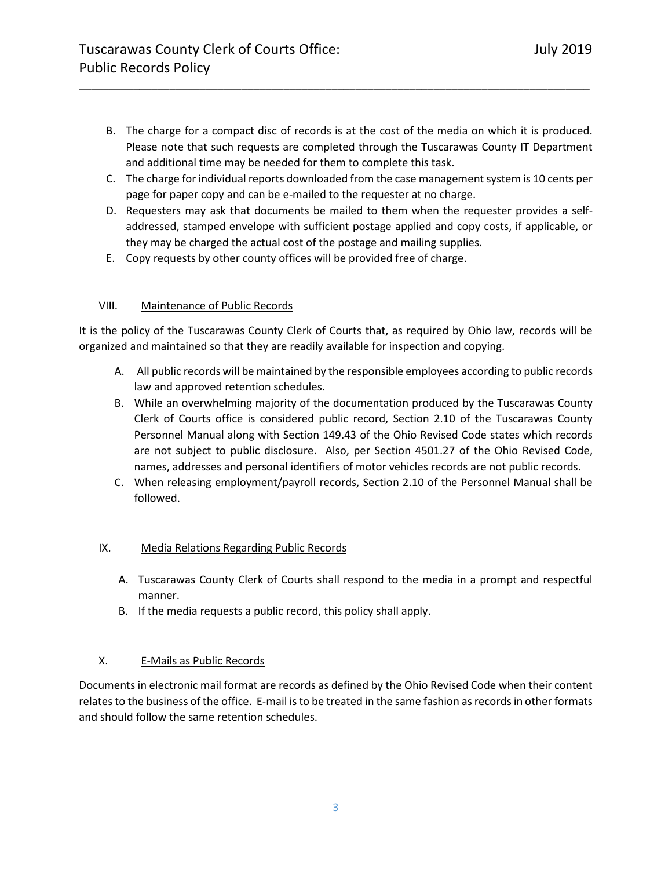B. The charge for a compact disc of records is at the cost of the media on which it is produced. Please note that such requests are completed through the Tuscarawas County IT Department and additional time may be needed for them to complete this task.

\_\_\_\_\_\_\_\_\_\_\_\_\_\_\_\_\_\_\_\_\_\_\_\_\_\_\_\_\_\_\_\_\_\_\_\_\_\_\_\_\_\_\_\_\_\_\_\_\_\_\_\_\_\_\_\_\_\_\_\_\_\_\_\_\_\_\_\_\_\_\_\_\_\_\_\_\_\_\_\_\_\_\_\_\_

- C. The charge for individual reports downloaded from the case management system is 10 cents per page for paper copy and can be e-mailed to the requester at no charge.
- D. Requesters may ask that documents be mailed to them when the requester provides a selfaddressed, stamped envelope with sufficient postage applied and copy costs, if applicable, or they may be charged the actual cost of the postage and mailing supplies.
- E. Copy requests by other county offices will be provided free of charge.

#### VIII. Maintenance of Public Records

It is the policy of the Tuscarawas County Clerk of Courts that, as required by Ohio law, records will be organized and maintained so that they are readily available for inspection and copying.

- A. All public records will be maintained by the responsible employees according to public records law and approved retention schedules.
- B. While an overwhelming majority of the documentation produced by the Tuscarawas County Clerk of Courts office is considered public record, Section 2.10 of the Tuscarawas County Personnel Manual along with Section 149.43 of the Ohio Revised Code states which records are not subject to public disclosure. Also, per Section 4501.27 of the Ohio Revised Code, names, addresses and personal identifiers of motor vehicles records are not public records.
- C. When releasing employment/payroll records, Section 2.10 of the Personnel Manual shall be followed.

#### IX. Media Relations Regarding Public Records

- A. Tuscarawas County Clerk of Courts shall respond to the media in a prompt and respectful manner.
- B. If the media requests a public record, this policy shall apply.

# X. E-Mails as Public Records

Documents in electronic mail format are records as defined by the Ohio Revised Code when their content relates to the business of the office. E-mail is to be treated in the same fashion as records in other formats and should follow the same retention schedules.